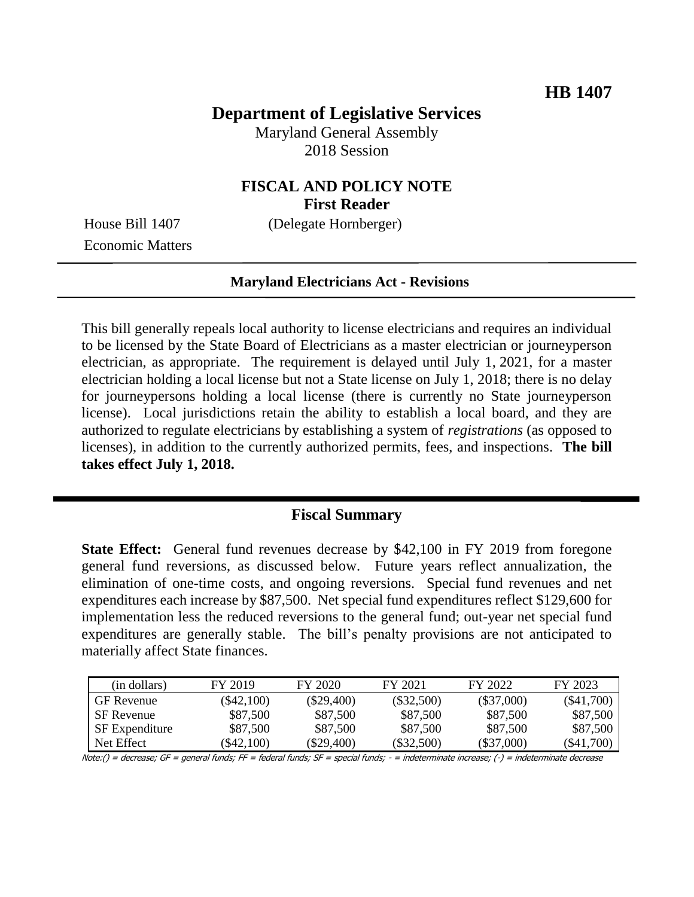# **Department of Legislative Services**

Maryland General Assembly 2018 Session

# **FISCAL AND POLICY NOTE First Reader**

House Bill 1407 (Delegate Hornberger)

Economic Matters

#### **Maryland Electricians Act - Revisions**

This bill generally repeals local authority to license electricians and requires an individual to be licensed by the State Board of Electricians as a master electrician or journeyperson electrician, as appropriate. The requirement is delayed until July 1, 2021, for a master electrician holding a local license but not a State license on July 1, 2018; there is no delay for journeypersons holding a local license (there is currently no State journeyperson license). Local jurisdictions retain the ability to establish a local board, and they are authorized to regulate electricians by establishing a system of *registrations* (as opposed to licenses), in addition to the currently authorized permits, fees, and inspections. **The bill takes effect July 1, 2018.**

#### **Fiscal Summary**

**State Effect:** General fund revenues decrease by \$42,100 in FY 2019 from foregone general fund reversions, as discussed below. Future years reflect annualization, the elimination of one-time costs, and ongoing reversions. Special fund revenues and net expenditures each increase by \$87,500. Net special fund expenditures reflect \$129,600 for implementation less the reduced reversions to the general fund; out-year net special fund expenditures are generally stable. The bill's penalty provisions are not anticipated to materially affect State finances.

| (in dollars)          | FY 2019      | FY 2020      | FY 2021      | FY 2022      | FY 2023          |
|-----------------------|--------------|--------------|--------------|--------------|------------------|
| <b>GF</b> Revenue     | $(\$42,100)$ | $(\$29,400)$ | $(\$32,500)$ | $(\$37,000)$ | $(\$41,700)$     |
| <b>SF</b> Revenue     | \$87,500     | \$87,500     | \$87,500     | \$87,500     | \$87,500         |
| <b>SF</b> Expenditure | \$87,500     | \$87,500     | \$87,500     | \$87,500     | \$87,500         |
| Net Effect            | $\$42.100$   | (\$29.400)   | $(\$32,500)$ | (S37,000)    | $($ \$41,700 $)$ |

Note:() = decrease; GF = general funds; FF = federal funds; SF = special funds; - = indeterminate increase; (-) = indeterminate decrease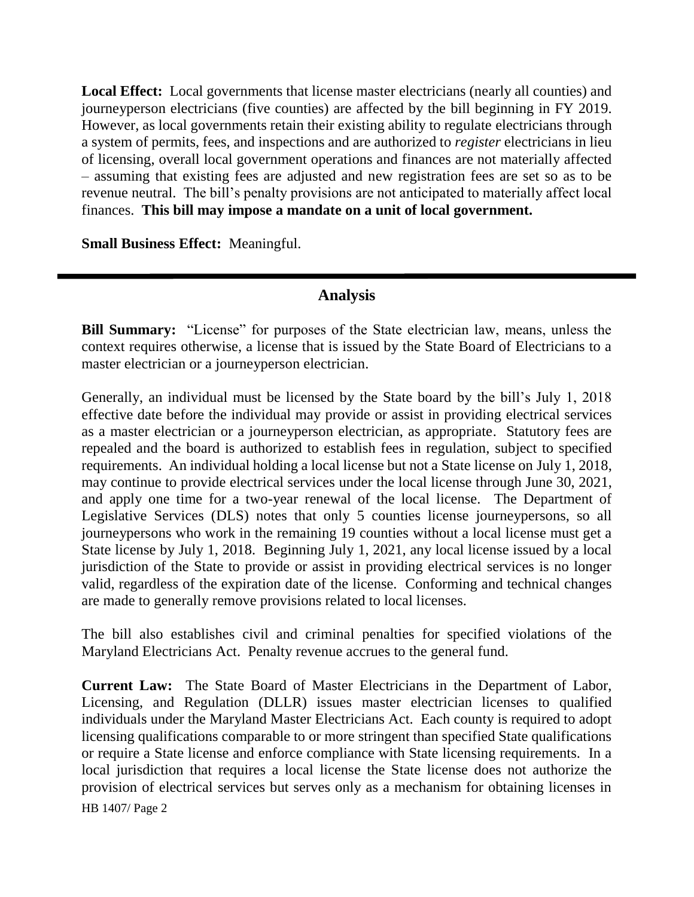**Local Effect:** Local governments that license master electricians (nearly all counties) and journeyperson electricians (five counties) are affected by the bill beginning in FY 2019. However, as local governments retain their existing ability to regulate electricians through a system of permits, fees, and inspections and are authorized to *register* electricians in lieu of licensing, overall local government operations and finances are not materially affected – assuming that existing fees are adjusted and new registration fees are set so as to be revenue neutral. The bill's penalty provisions are not anticipated to materially affect local finances. **This bill may impose a mandate on a unit of local government.**

**Small Business Effect:** Meaningful.

## **Analysis**

**Bill Summary:** "License" for purposes of the State electrician law, means, unless the context requires otherwise, a license that is issued by the State Board of Electricians to a master electrician or a journeyperson electrician.

Generally, an individual must be licensed by the State board by the bill's July 1, 2018 effective date before the individual may provide or assist in providing electrical services as a master electrician or a journeyperson electrician, as appropriate. Statutory fees are repealed and the board is authorized to establish fees in regulation, subject to specified requirements. An individual holding a local license but not a State license on July 1, 2018, may continue to provide electrical services under the local license through June 30, 2021, and apply one time for a two-year renewal of the local license. The Department of Legislative Services (DLS) notes that only 5 counties license journeypersons, so all journeypersons who work in the remaining 19 counties without a local license must get a State license by July 1, 2018. Beginning July 1, 2021, any local license issued by a local jurisdiction of the State to provide or assist in providing electrical services is no longer valid, regardless of the expiration date of the license. Conforming and technical changes are made to generally remove provisions related to local licenses.

The bill also establishes civil and criminal penalties for specified violations of the Maryland Electricians Act. Penalty revenue accrues to the general fund.

HB 1407/ Page 2 **Current Law:** The State Board of Master Electricians in the Department of Labor, Licensing, and Regulation (DLLR) issues master electrician licenses to qualified individuals under the Maryland Master Electricians Act. Each county is required to adopt licensing qualifications comparable to or more stringent than specified State qualifications or require a State license and enforce compliance with State licensing requirements. In a local jurisdiction that requires a local license the State license does not authorize the provision of electrical services but serves only as a mechanism for obtaining licenses in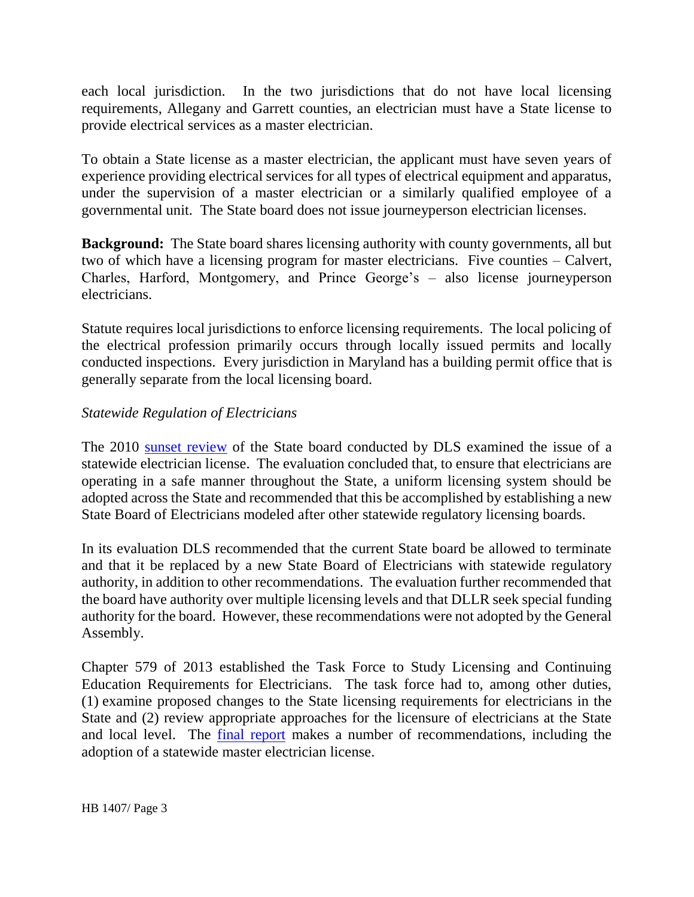each local jurisdiction. In the two jurisdictions that do not have local licensing requirements, Allegany and Garrett counties, an electrician must have a State license to provide electrical services as a master electrician.

To obtain a State license as a master electrician, the applicant must have seven years of experience providing electrical services for all types of electrical equipment and apparatus, under the supervision of a master electrician or a similarly qualified employee of a governmental unit. The State board does not issue journeyperson electrician licenses.

**Background:** The State board shares licensing authority with county governments, all but two of which have a licensing program for master electricians. Five counties – Calvert, Charles, Harford, Montgomery, and Prince George's – also license journeyperson electricians.

Statute requires local jurisdictions to enforce licensing requirements. The local policing of the electrical profession primarily occurs through locally issued permits and locally conducted inspections. Every jurisdiction in Maryland has a building permit office that is generally separate from the local licensing board.

#### *Statewide Regulation of Electricians*

The 2010 [sunset review](http://dlslibrary.state.md.us/publications/OPA/S/F/MastElec_2010.pdf) of the State board conducted by DLS examined the issue of a statewide electrician license. The evaluation concluded that, to ensure that electricians are operating in a safe manner throughout the State, a uniform licensing system should be adopted across the State and recommended that this be accomplished by establishing a new State Board of Electricians modeled after other statewide regulatory licensing boards.

In its evaluation DLS recommended that the current State board be allowed to terminate and that it be replaced by a new State Board of Electricians with statewide regulatory authority, in addition to other recommendations. The evaluation further recommended that the board have authority over multiple licensing levels and that DLLR seek special funding authority for the board. However, these recommendations were not adopted by the General Assembly.

Chapter 579 of 2013 established the Task Force to Study Licensing and Continuing Education Requirements for Electricians. The task force had to, among other duties, (1) examine proposed changes to the State licensing requirements for electricians in the State and (2) review appropriate approaches for the licensure of electricians at the State and local level. The [final report](http://dlslibrary.state.md.us/publications/Exec/DLLR/SB916Ch579_2013.pdf) makes a number of recommendations, including the adoption of a statewide master electrician license.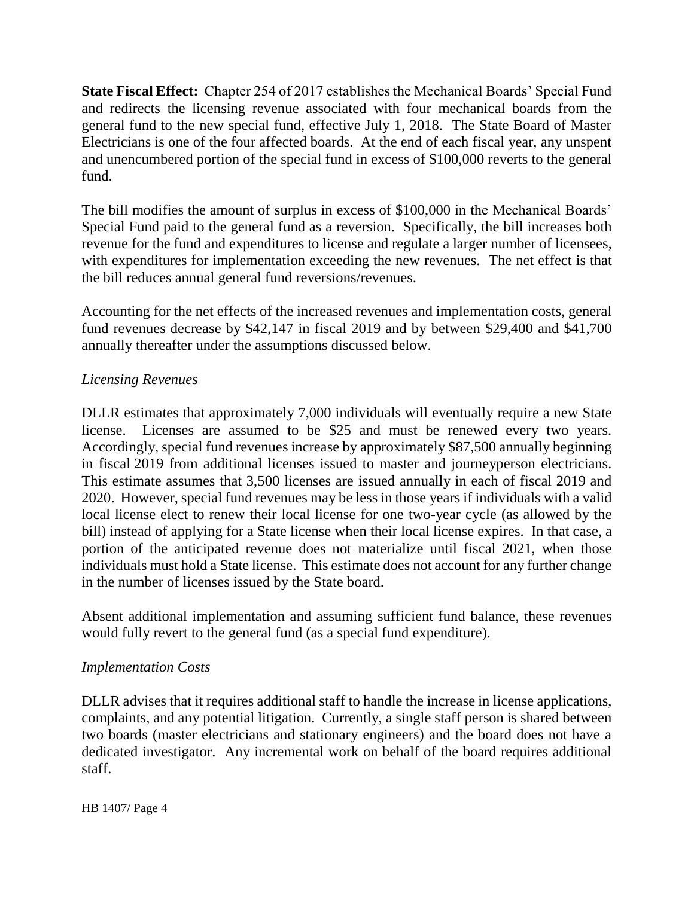**State Fiscal Effect:** Chapter 254 of 2017 establishes the Mechanical Boards' Special Fund and redirects the licensing revenue associated with four mechanical boards from the general fund to the new special fund, effective July 1, 2018. The State Board of Master Electricians is one of the four affected boards. At the end of each fiscal year, any unspent and unencumbered portion of the special fund in excess of \$100,000 reverts to the general fund.

The bill modifies the amount of surplus in excess of \$100,000 in the Mechanical Boards' Special Fund paid to the general fund as a reversion. Specifically, the bill increases both revenue for the fund and expenditures to license and regulate a larger number of licensees, with expenditures for implementation exceeding the new revenues. The net effect is that the bill reduces annual general fund reversions/revenues.

Accounting for the net effects of the increased revenues and implementation costs, general fund revenues decrease by \$42,147 in fiscal 2019 and by between \$29,400 and \$41,700 annually thereafter under the assumptions discussed below.

## *Licensing Revenues*

DLLR estimates that approximately 7,000 individuals will eventually require a new State license. Licenses are assumed to be \$25 and must be renewed every two years. Accordingly, special fund revenues increase by approximately \$87,500 annually beginning in fiscal 2019 from additional licenses issued to master and journeyperson electricians. This estimate assumes that 3,500 licenses are issued annually in each of fiscal 2019 and 2020. However, special fund revenues may be less in those years if individuals with a valid local license elect to renew their local license for one two-year cycle (as allowed by the bill) instead of applying for a State license when their local license expires. In that case, a portion of the anticipated revenue does not materialize until fiscal 2021, when those individuals must hold a State license. This estimate does not account for any further change in the number of licenses issued by the State board.

Absent additional implementation and assuming sufficient fund balance, these revenues would fully revert to the general fund (as a special fund expenditure).

#### *Implementation Costs*

DLLR advises that it requires additional staff to handle the increase in license applications, complaints, and any potential litigation. Currently, a single staff person is shared between two boards (master electricians and stationary engineers) and the board does not have a dedicated investigator. Any incremental work on behalf of the board requires additional staff.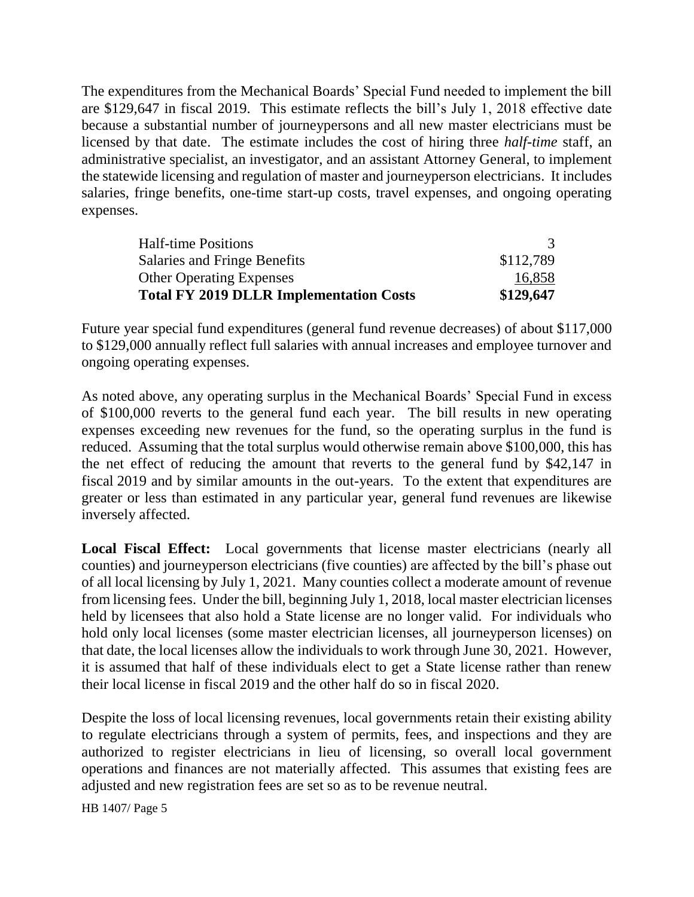The expenditures from the Mechanical Boards' Special Fund needed to implement the bill are \$129,647 in fiscal 2019. This estimate reflects the bill's July 1, 2018 effective date because a substantial number of journeypersons and all new master electricians must be licensed by that date. The estimate includes the cost of hiring three *half-time* staff, an administrative specialist, an investigator, and an assistant Attorney General, to implement the statewide licensing and regulation of master and journeyperson electricians. It includes salaries, fringe benefits, one-time start-up costs, travel expenses, and ongoing operating expenses.

| <b>Total FY 2019 DLLR Implementation Costs</b> | \$129,647 |
|------------------------------------------------|-----------|
| <b>Other Operating Expenses</b>                | 16,858    |
| <b>Salaries and Fringe Benefits</b>            | \$112,789 |
| <b>Half-time Positions</b>                     |           |

Future year special fund expenditures (general fund revenue decreases) of about \$117,000 to \$129,000 annually reflect full salaries with annual increases and employee turnover and ongoing operating expenses.

As noted above, any operating surplus in the Mechanical Boards' Special Fund in excess of \$100,000 reverts to the general fund each year. The bill results in new operating expenses exceeding new revenues for the fund, so the operating surplus in the fund is reduced. Assuming that the total surplus would otherwise remain above \$100,000, this has the net effect of reducing the amount that reverts to the general fund by \$42,147 in fiscal 2019 and by similar amounts in the out-years. To the extent that expenditures are greater or less than estimated in any particular year, general fund revenues are likewise inversely affected.

**Local Fiscal Effect:** Local governments that license master electricians (nearly all counties) and journeyperson electricians (five counties) are affected by the bill's phase out of all local licensing by July 1, 2021. Many counties collect a moderate amount of revenue from licensing fees. Under the bill, beginning July 1, 2018, local master electrician licenses held by licensees that also hold a State license are no longer valid. For individuals who hold only local licenses (some master electrician licenses, all journeyperson licenses) on that date, the local licenses allow the individuals to work through June 30, 2021. However, it is assumed that half of these individuals elect to get a State license rather than renew their local license in fiscal 2019 and the other half do so in fiscal 2020.

Despite the loss of local licensing revenues, local governments retain their existing ability to regulate electricians through a system of permits, fees, and inspections and they are authorized to register electricians in lieu of licensing, so overall local government operations and finances are not materially affected. This assumes that existing fees are adjusted and new registration fees are set so as to be revenue neutral.